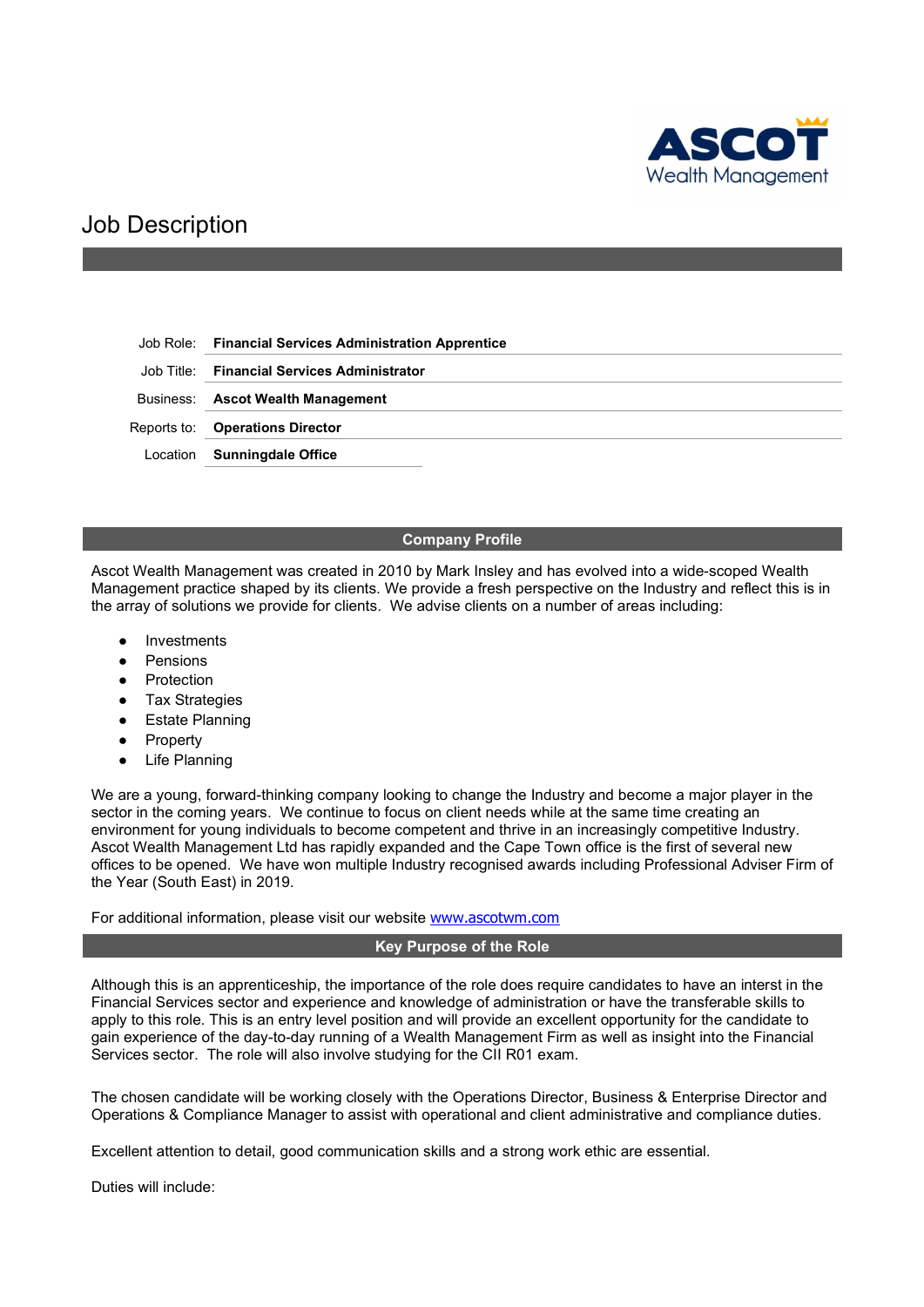

# Job Description

Job Role: Financial Services Administration Apprentice

Job Title: Financial Services Administrator

Business: Ascot Wealth Management

Reports to: Operations Director

Location Sunningdale Office

## Company Profile

Ascot Wealth Management was created in 2010 by Mark Insley and has evolved into a wide-scoped Wealth Management practice shaped by its clients. We provide a fresh perspective on the Industry and reflect this is in the array of solutions we provide for clients. We advise clients on a number of areas including:

- Investments
- **Pensions**
- Protection
- **Tax Strategies**
- **Estate Planning**
- **Property**
- **Life Planning**

We are a young, forward-thinking company looking to change the Industry and become a major player in the sector in the coming years. We continue to focus on client needs while at the same time creating an environment for young individuals to become competent and thrive in an increasingly competitive Industry. Ascot Wealth Management Ltd has rapidly expanded and the Cape Town office is the first of several new offices to be opened. We have won multiple Industry recognised awards including Professional Adviser Firm of the Year (South East) in 2019.

For additional information, please visit our website www.ascotwm.com

## Key Purpose of the Role

Although this is an apprenticeship, the importance of the role does require candidates to have an interst in the Financial Services sector and experience and knowledge of administration or have the transferable skills to apply to this role. This is an entry level position and will provide an excellent opportunity for the candidate to gain experience of the day-to-day running of a Wealth Management Firm as well as insight into the Financial Services sector. The role will also involve studying for the CII R01 exam.

The chosen candidate will be working closely with the Operations Director, Business & Enterprise Director and Operations & Compliance Manager to assist with operational and client administrative and compliance duties.

Excellent attention to detail, good communication skills and a strong work ethic are essential.

Duties will include: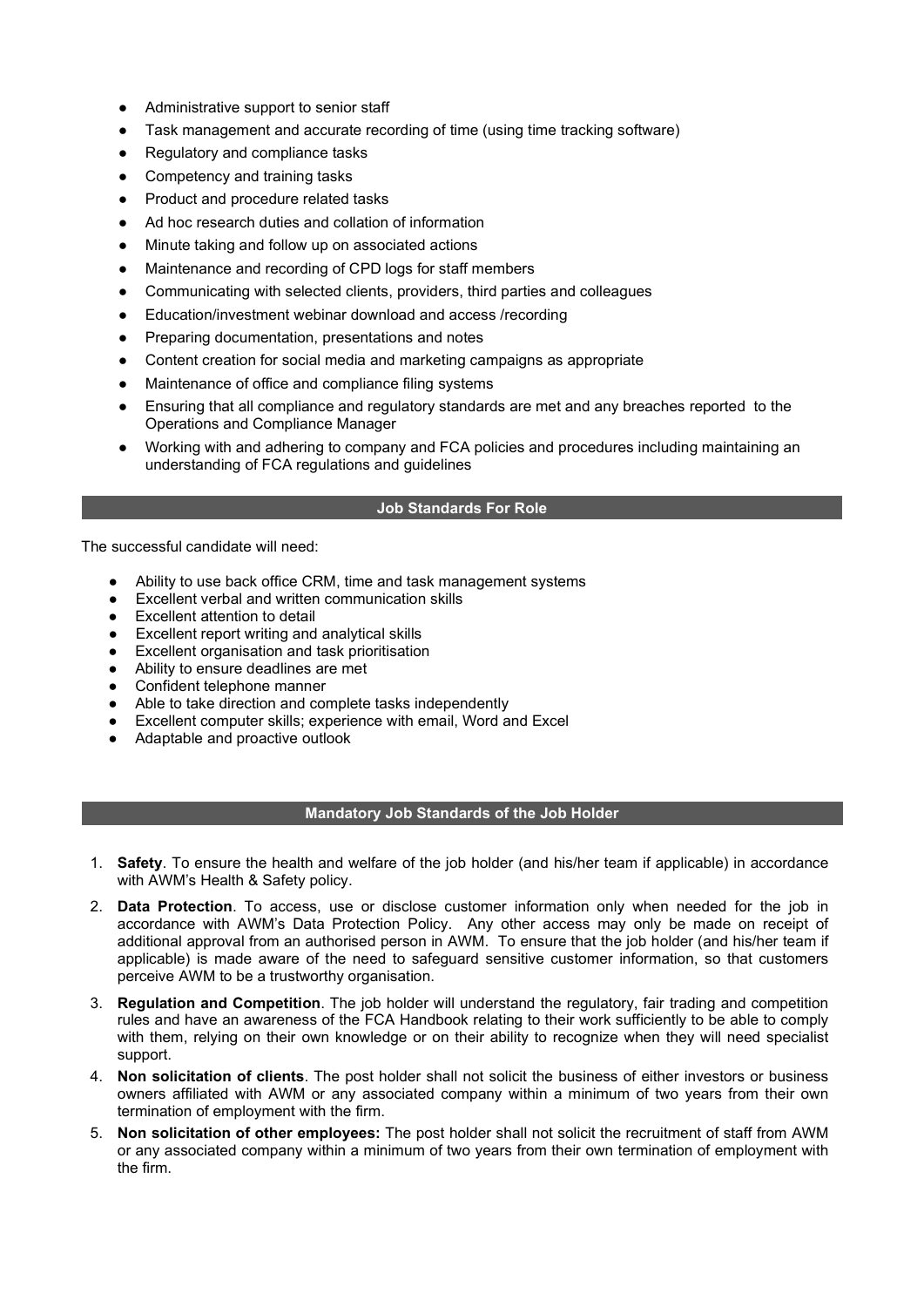- Administrative support to senior staff
- Task management and accurate recording of time (using time tracking software)
- Regulatory and compliance tasks
- Competency and training tasks
- Product and procedure related tasks
- Ad hoc research duties and collation of information
- Minute taking and follow up on associated actions
- Maintenance and recording of CPD logs for staff members
- Communicating with selected clients, providers, third parties and colleagues
- Education/investment webinar download and access /recording
- Preparing documentation, presentations and notes
- Content creation for social media and marketing campaigns as appropriate
- Maintenance of office and compliance filing systems
- Ensuring that all compliance and regulatory standards are met and any breaches reported to the Operations and Compliance Manager
- Working with and adhering to company and FCA policies and procedures including maintaining an understanding of FCA regulations and guidelines

# Job Standards For Role

The successful candidate will need:

- Ability to use back office CRM, time and task management systems
- **Excellent verbal and written communication skills**
- Excellent attention to detail
- Excellent report writing and analytical skills
- Excellent organisation and task prioritisation
- Ability to ensure deadlines are met
- Confident telephone manner
- Able to take direction and complete tasks independently
- Excellent computer skills; experience with email, Word and Excel
- Adaptable and proactive outlook

## Mandatory Job Standards of the Job Holder

- 1. Safety. To ensure the health and welfare of the job holder (and his/her team if applicable) in accordance with AWM's Health & Safety policy.
- 2. Data Protection. To access, use or disclose customer information only when needed for the job in accordance with AWM's Data Protection Policy. Any other access may only be made on receipt of additional approval from an authorised person in AWM. To ensure that the job holder (and his/her team if applicable) is made aware of the need to safeguard sensitive customer information, so that customers perceive AWM to be a trustworthy organisation.
- 3. Regulation and Competition. The job holder will understand the regulatory, fair trading and competition rules and have an awareness of the FCA Handbook relating to their work sufficiently to be able to comply with them, relying on their own knowledge or on their ability to recognize when they will need specialist support.
- 4. Non solicitation of clients. The post holder shall not solicit the business of either investors or business owners affiliated with AWM or any associated company within a minimum of two years from their own termination of employment with the firm.
- 5. Non solicitation of other employees: The post holder shall not solicit the recruitment of staff from AWM or any associated company within a minimum of two years from their own termination of employment with the firm.